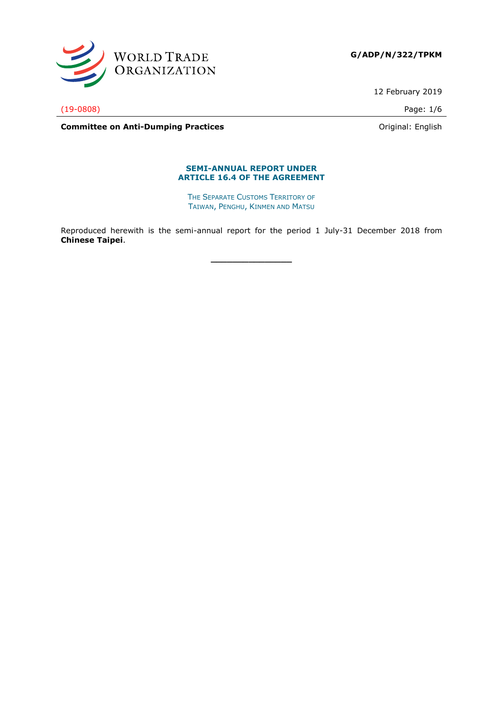

**G/ADP/N/322/TPKM**

12 February 2019

(19-0808) Page: 1/6

**Committee on Anti-Dumping Practices Committee on Anti-Dumping Practices Committee on Anti-Dumping Practices** 

#### **SEMI-ANNUAL REPORT UNDER ARTICLE 16.4 OF THE AGREEMENT**

THE SEPARATE CUSTOMS TERRITORY OF TAIWAN, PENGHU, KINMEN AND MATSU

Reproduced herewith is the semi-annual report for the period 1 July-31 December 2018 from **Chinese Taipei**.

**\_\_\_\_\_\_\_\_\_\_\_\_\_\_\_**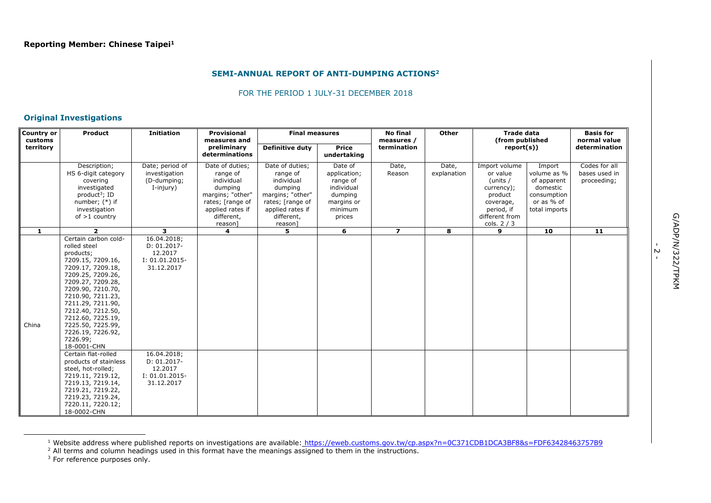#### **SEMI-ANNUAL REPORT OF ANTI-DUMPING ACTIONS<sup>2</sup>**

#### FOR THE PERIOD 1 JULY-31 DECEMBER 2018

# **Original Investigations**

| <b>Country or</b><br>customs | Product                                                                                                                                                                                                                                                                                                                                    | <b>Initiation</b>                                                                         | <b>Provisional</b><br>measures and                                                                                                        | <b>Final measures</b>                                                                                                                     |                                                                                                 | <b>No final</b><br>measures / | <b>Other</b>         | <b>Trade data</b><br>(from published                                                                                       |                                                                                                | <b>Basis for</b><br>normal value              |
|------------------------------|--------------------------------------------------------------------------------------------------------------------------------------------------------------------------------------------------------------------------------------------------------------------------------------------------------------------------------------------|-------------------------------------------------------------------------------------------|-------------------------------------------------------------------------------------------------------------------------------------------|-------------------------------------------------------------------------------------------------------------------------------------------|-------------------------------------------------------------------------------------------------|-------------------------------|----------------------|----------------------------------------------------------------------------------------------------------------------------|------------------------------------------------------------------------------------------------|-----------------------------------------------|
| territory                    |                                                                                                                                                                                                                                                                                                                                            |                                                                                           | preliminary<br>determinations                                                                                                             | <b>Definitive duty</b>                                                                                                                    | <b>Price</b><br>undertaking                                                                     | termination                   |                      | report(s))                                                                                                                 |                                                                                                | determination                                 |
|                              | Description;<br>HS 6-digit category<br>covering<br>investigated<br>product <sup>3</sup> ; ID<br>number; $(*)$ if<br>investigation<br>of $>1$ country                                                                                                                                                                                       | Date; period of<br>investigation<br>(D-dumping;<br>I-injury)                              | Date of duties;<br>range of<br>individual<br>dumping<br>margins; "other"<br>rates; [range of<br>applied rates if<br>different,<br>reason] | Date of duties;<br>range of<br>individual<br>dumping<br>margins; "other"<br>rates; [range of<br>applied rates if<br>different,<br>reason] | Date of<br>application;<br>range of<br>individual<br>dumping<br>margins or<br>minimum<br>prices | Date,<br>Reason               | Date,<br>explanation | Import volume<br>or value<br>(units /<br>currency);<br>product<br>coverage,<br>period, if<br>different from<br>cols. $2/3$ | Import<br>volume as %<br>of apparent<br>domestic<br>consumption<br>or as % of<br>total imports | Codes for all<br>bases used in<br>proceeding; |
| $\mathbf{1}$                 | $\overline{2}$                                                                                                                                                                                                                                                                                                                             | $\overline{\mathbf{3}}$                                                                   | $\overline{\mathbf{4}}$                                                                                                                   | 5.                                                                                                                                        | 6                                                                                               | $\overline{ }$                | 8                    | 9                                                                                                                          | 10                                                                                             | $\overline{11}$                               |
| China                        | Certain carbon cold-<br>rolled steel<br>products;<br>7209.15, 7209.16,<br>7209.17, 7209.18,<br>7209.25, 7209.26,<br>7209.27, 7209.28,<br>7209.90, 7210.70,<br>7210.90, 7211.23,<br>7211.29, 7211.90,<br>7212.40, 7212.50,<br>7212.60, 7225.19,<br>7225.50, 7225.99,<br>7226.19, 7226.92,<br>7226.99;<br>18-0001-CHN<br>Certain flat-rolled | 16.04.2018;<br>$D: 01.2017 -$<br>12.2017<br>$I: 01.01.2015-$<br>31.12.2017<br>16.04.2018; |                                                                                                                                           |                                                                                                                                           |                                                                                                 |                               |                      |                                                                                                                            |                                                                                                |                                               |
|                              | products of stainless<br>steel, hot-rolled;<br>7219.11, 7219.12,<br>7219.13, 7219.14,<br>7219.21, 7219.22,<br>7219.23, 7219.24,<br>7220.11, 7220.12;<br>18-0002-CHN                                                                                                                                                                        | $D: 01.2017 -$<br>12.2017<br>$I: 01.01.2015-$<br>31.12.2017                               |                                                                                                                                           |                                                                                                                                           |                                                                                                 |                               |                      |                                                                                                                            |                                                                                                |                                               |

<sup>&</sup>lt;sup>1</sup> Website address where published reports on investigations are available: <https://eweb.customs.gov.tw/cp.aspx?n=0C371CDB1DCA3BF8&s=FDF63428463757B9>

 $<sup>2</sup>$  All terms and column headings used in this format have the meanings assigned to them in the instructions.</sup>

ł

ب<br>-

 $3$  For reference purposes only.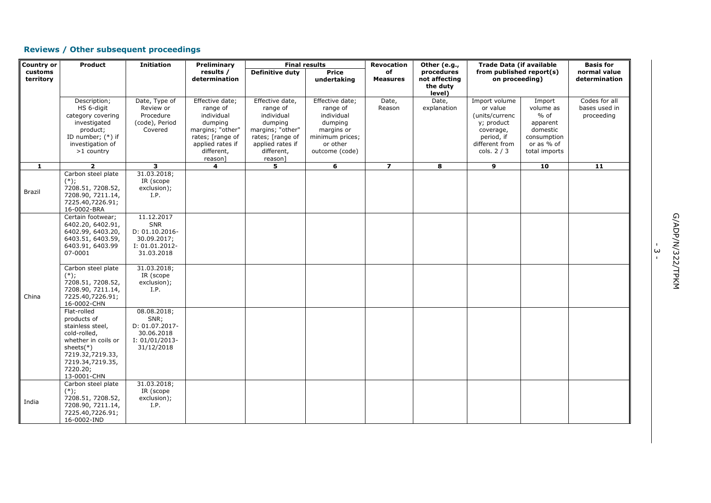# **Reviews / Other subsequent proceedings**

| <b>Country or</b> | Product                           | <b>Initiation</b>       | Preliminary            |                        | <b>Final results</b>   | <b>Revocation</b> | Other (e.g.,  | <b>Trade Data (if available</b> |                      | <b>Basis for</b>            |  |
|-------------------|-----------------------------------|-------------------------|------------------------|------------------------|------------------------|-------------------|---------------|---------------------------------|----------------------|-----------------------------|--|
| customs           |                                   |                         | results /              | <b>Definitive duty</b> | <b>Price</b>           | of                | procedures    | from published report(s)        |                      | normal value                |  |
| territory         |                                   |                         | determination          |                        | undertaking            | <b>Measures</b>   | not affecting | on proceeding)                  |                      | determination               |  |
|                   |                                   |                         |                        |                        |                        |                   | the duty      |                                 |                      |                             |  |
|                   |                                   |                         |                        |                        |                        |                   | level)        |                                 |                      |                             |  |
|                   | Description;                      | Date, Type of           | Effective date;        | Effective date,        | Effective date;        | Date,             | Date,         | Import volume                   | Import               | Codes for all               |  |
|                   | HS 6-digit<br>category covering   | Review or<br>Procedure  | range of<br>individual | range of<br>individual | range of<br>individual | Reason            | explanation   | or value<br>(units/currenc      | volume as<br>$%$ of  | bases used in<br>proceeding |  |
|                   | investigated                      | (code), Period          | dumping                | dumping                |                        |                   |               | y; product                      |                      |                             |  |
|                   | product;                          | Covered                 | margins; "other"       | margins; "other"       | dumping<br>margins or  |                   |               | coverage,                       | apparent<br>domestic |                             |  |
|                   | ID number; $(*)$ if               |                         | rates; [range of       | rates; [range of       | minimum prices;        |                   |               | period, if                      | consumption          |                             |  |
|                   | investigation of                  |                         | applied rates if       | applied rates if       | or other               |                   |               | different from                  | or as % of           |                             |  |
|                   | >1 country                        |                         | different,             | different,             | outcome (code)         |                   |               | cols. $2/3$                     | total imports        |                             |  |
|                   |                                   |                         | reason]                | reason]                |                        |                   |               |                                 |                      |                             |  |
| $\mathbf{1}$      | $\overline{2}$                    | $\overline{\mathbf{3}}$ | 4                      | 5                      | 6                      | $\overline{z}$    | 8             | 9                               | 10                   | 11                          |  |
|                   | Carbon steel plate                | 31.03.2018;             |                        |                        |                        |                   |               |                                 |                      |                             |  |
|                   | $(*)$ ;                           | IR (scope               |                        |                        |                        |                   |               |                                 |                      |                             |  |
| Brazil            | 7208.51, 7208.52,                 | exclusion);             |                        |                        |                        |                   |               |                                 |                      |                             |  |
|                   | 7208.90, 7211.14,                 | I.P.                    |                        |                        |                        |                   |               |                                 |                      |                             |  |
|                   | 7225.40,7226.91;                  |                         |                        |                        |                        |                   |               |                                 |                      |                             |  |
|                   | 16-0002-BRA                       |                         |                        |                        |                        |                   |               |                                 |                      |                             |  |
|                   | Certain footwear;                 | 11.12.2017              |                        |                        |                        |                   |               |                                 |                      |                             |  |
|                   | 6402.20, 6402.91,                 | SNR                     |                        |                        |                        |                   |               |                                 |                      |                             |  |
|                   | 6402.99, 6403.20,                 | D: 01.10.2016-          |                        |                        |                        |                   |               |                                 |                      |                             |  |
|                   | 6403.51, 6403.59,                 | 30.09.2017;             |                        |                        |                        |                   |               |                                 |                      |                             |  |
|                   | 6403.91, 6403.99                  | I: 01.01.2012-          |                        |                        |                        |                   |               |                                 |                      |                             |  |
|                   | 07-0001                           | 31.03.2018              |                        |                        |                        |                   |               |                                 |                      |                             |  |
|                   | Carbon steel plate                | 31.03.2018;             |                        |                        |                        |                   |               |                                 |                      |                             |  |
|                   | $(*)$ ;                           | IR (scope               |                        |                        |                        |                   |               |                                 |                      |                             |  |
|                   | 7208.51, 7208.52,                 | exclusion);             |                        |                        |                        |                   |               |                                 |                      |                             |  |
|                   | 7208.90, 7211.14,                 | I.P.                    |                        |                        |                        |                   |               |                                 |                      |                             |  |
| China             | 7225.40,7226.91;                  |                         |                        |                        |                        |                   |               |                                 |                      |                             |  |
|                   | 16-0002-CHN                       |                         |                        |                        |                        |                   |               |                                 |                      |                             |  |
|                   | Flat-rolled                       | 08.08.2018;             |                        |                        |                        |                   |               |                                 |                      |                             |  |
|                   | products of                       | SNR;                    |                        |                        |                        |                   |               |                                 |                      |                             |  |
|                   | stainless steel,                  | D: 01.07.2017-          |                        |                        |                        |                   |               |                                 |                      |                             |  |
|                   | cold-rolled,                      | 30.06.2018              |                        |                        |                        |                   |               |                                 |                      |                             |  |
|                   | whether in coils or               | $I: 01/01/2013-$        |                        |                        |                        |                   |               |                                 |                      |                             |  |
|                   | sheets $(*)$                      | 31/12/2018              |                        |                        |                        |                   |               |                                 |                      |                             |  |
|                   | 7219.32,7219.33,                  |                         |                        |                        |                        |                   |               |                                 |                      |                             |  |
|                   | 7219.34,7219.35,                  |                         |                        |                        |                        |                   |               |                                 |                      |                             |  |
|                   | 7220.20;                          |                         |                        |                        |                        |                   |               |                                 |                      |                             |  |
|                   | 13-0001-CHN<br>Carbon steel plate | 31.03.2018;             |                        |                        |                        |                   |               |                                 |                      |                             |  |
|                   | $(*)$ ;                           | IR (scope               |                        |                        |                        |                   |               |                                 |                      |                             |  |
|                   | 7208.51, 7208.52,                 | exclusion);             |                        |                        |                        |                   |               |                                 |                      |                             |  |
| India             | 7208.90, 7211.14,                 | I.P.                    |                        |                        |                        |                   |               |                                 |                      |                             |  |
|                   | 7225.40,7226.91;                  |                         |                        |                        |                        |                   |               |                                 |                      |                             |  |
|                   | 16-0002-IND                       |                         |                        |                        |                        |                   |               |                                 |                      |                             |  |

ا<br>سا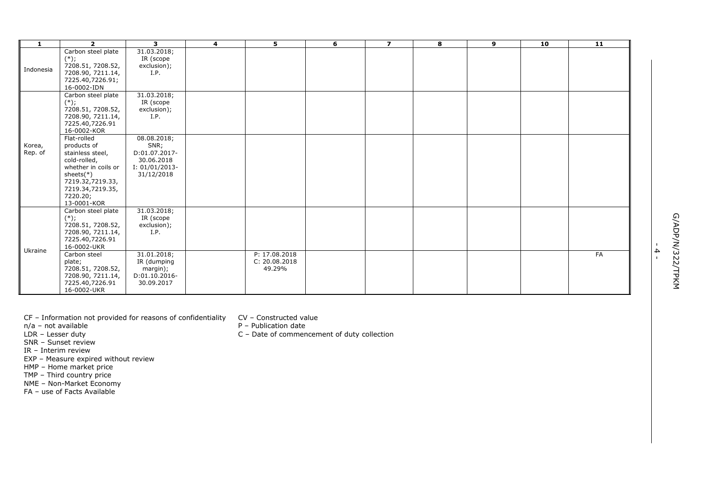| 1                 | $\overline{2}$                                                                                                                                                           | 3                                                                                    | 4 | 5                                        | 6 | $\overline{z}$ | 8 | 9 | 10 | 11 |                                  |                  |
|-------------------|--------------------------------------------------------------------------------------------------------------------------------------------------------------------------|--------------------------------------------------------------------------------------|---|------------------------------------------|---|----------------|---|---|----|----|----------------------------------|------------------|
| Indonesia         | Carbon steel plate<br>$(*)$ ;<br>7208.51, 7208.52,<br>7208.90, 7211.14,<br>7225.40,7226.91;<br>16-0002-IDN                                                               | 31.03.2018;<br>IR (scope<br>exclusion);<br>I.P.                                      |   |                                          |   |                |   |   |    |    |                                  |                  |
|                   | Carbon steel plate<br>$(*)$ ;<br>7208.51, 7208.52,<br>7208.90, 7211.14,<br>7225.40,7226.91<br>16-0002-KOR                                                                | 31.03.2018;<br>IR (scope<br>exclusion);<br>I.P.                                      |   |                                          |   |                |   |   |    |    |                                  |                  |
| Korea,<br>Rep. of | Flat-rolled<br>products of<br>stainless steel,<br>cold-rolled,<br>whether in coils or<br>sheets $(*)$<br>7219.32,7219.33,<br>7219.34,7219.35,<br>7220.20;<br>13-0001-KOR | 08.08.2018;<br>SNR;<br>D:01.07.2017-<br>30.06.2018<br>$I: 01/01/2013-$<br>31/12/2018 |   |                                          |   |                |   |   |    |    |                                  |                  |
| Ukraine           | Carbon steel plate<br>$(*)$ ;<br>7208.51, 7208.52,<br>7208.90, 7211.14,<br>7225.40,7226.91<br>16-0002-UKR                                                                | 31.03.2018;<br>IR (scope<br>exclusion);<br>I.P.                                      |   |                                          |   |                |   |   |    |    |                                  |                  |
|                   | Carbon steel<br>plate;<br>7208.51, 7208.52,<br>7208.90, 7211.14,<br>7225.40,7226.91<br>16-0002-UKR                                                                       | 31.01.2018;<br>IR (dumping<br>margin);<br>D:01.10.2016-<br>30.09.2017                |   | P: 17.08.2018<br>C: 20.08.2018<br>49.29% |   |                |   |   |    | FA | $\blacktriangle$<br>$\mathbf{L}$ | G/ADP/N/322/TPKM |

CF – Information not provided for reasons of confidentiality CV

- n/a not available P
- LDR Lesser duty C
- SNR Sunset review
- IR Interim review
- EXP Measure expired without review
- HMP Home market price
- TMP Third country price
- NME Non -Market Economy
- FA use of Facts Available
- Constructed value
- Publication date
- Date of commencement of duty collection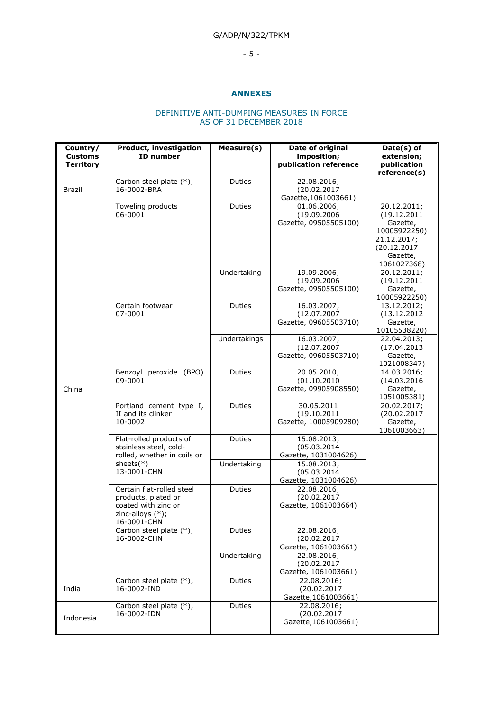# G/ADP/N/322/TPKM

# - 5 -

#### **ANNEXES**

## DEFINITIVE ANTI-DUMPING MEASURES IN FORCE AS OF 31 DECEMBER 2018

| Country/<br><b>Customs</b><br><b>Territory</b> | Product, investigation<br><b>ID</b> number                                                                    | Measure(s)   | Date of original<br>imposition;<br>publication reference | Date(s) of<br>extension;<br>publication<br>reference(s)                                                         |
|------------------------------------------------|---------------------------------------------------------------------------------------------------------------|--------------|----------------------------------------------------------|-----------------------------------------------------------------------------------------------------------------|
| <b>Brazil</b>                                  | Carbon steel plate (*);<br>16-0002-BRA                                                                        | Duties       | 22.08.2016;<br>(20.02.2017<br>Gazette, 1061003661)       |                                                                                                                 |
|                                                | Toweling products<br>06-0001                                                                                  | Duties       | 01.06.2006;<br>(19.09.2006<br>Gazette, 09505505100)      | 20.12.2011;<br>(19.12.2011<br>Gazette,<br>10005922250)<br>21.12.2017;<br>(20.12.2017<br>Gazette,<br>1061027368) |
|                                                |                                                                                                               | Undertaking  | 19.09.2006;<br>(19.09.2006<br>Gazette, 09505505100)      | 20.12.2011;<br>(19.12.2011<br>Gazette,<br>10005922250)                                                          |
|                                                | Certain footwear<br>07-0001                                                                                   | Duties       | 16.03.2007;<br>(12.07.2007<br>Gazette, 09605503710)      | 13.12.2012;<br>(13.12.2012)<br>Gazette,<br>10105538220)                                                         |
|                                                |                                                                                                               | Undertakings | 16.03.2007;<br>(12.07.2007<br>Gazette, 09605503710)      | 22.04.2013;<br>(17.04.2013)<br>Gazette,<br>1021008347)                                                          |
| China                                          | Benzoyl peroxide (BPO)<br>09-0001                                                                             | Duties       | 20.05.2010;<br>(01.10.2010<br>Gazette, 09905908550)      | 14.03.2016;<br>(14.03.2016<br>Gazette,<br>1051005381)                                                           |
|                                                | Portland cement type I,<br>II and its clinker<br>10-0002                                                      | Duties       | 30.05.2011<br>(19.10.2011<br>Gazette, 10005909280)       | 20.02.2017;<br>(20.02.2017<br>Gazette,<br>1061003663)                                                           |
|                                                | Flat-rolled products of<br>stainless steel, cold-<br>rolled, whether in coils or                              | Duties       | 15.08.2013;<br>(05.03.2014)<br>Gazette, 1031004626)      |                                                                                                                 |
|                                                | sheets $(*)$<br>13-0001-CHN                                                                                   | Undertaking  | 15.08.2013;<br>(05.03.2014)<br>Gazette, 1031004626)      |                                                                                                                 |
|                                                | Certain flat-rolled steel<br>products, plated or<br>coated with zinc or<br>zinc-alloys $(*)$ ;<br>16-0001-CHN | Duties       | 22.08.2016;<br>(20.02.2017<br>Gazette, 1061003664)       |                                                                                                                 |
|                                                | Carbon steel plate (*);<br>16-0002-CHN                                                                        | Duties       | 22.08.2016;<br>(20.02.2017<br>Gazette, 1061003661)       |                                                                                                                 |
|                                                |                                                                                                               | Undertaking  | 22.08.2016;<br>(20.02.2017<br>Gazette, 1061003661)       |                                                                                                                 |
| India                                          | Carbon steel plate (*);<br>16-0002-IND                                                                        | Duties       | 22.08.2016;<br>(20.02.2017<br>Gazette, 1061003661)       |                                                                                                                 |
| Indonesia                                      | Carbon steel plate (*);<br>16-0002-IDN                                                                        | Duties       | 22.08.2016;<br>(20.02.2017<br>Gazette, 1061003661)       |                                                                                                                 |